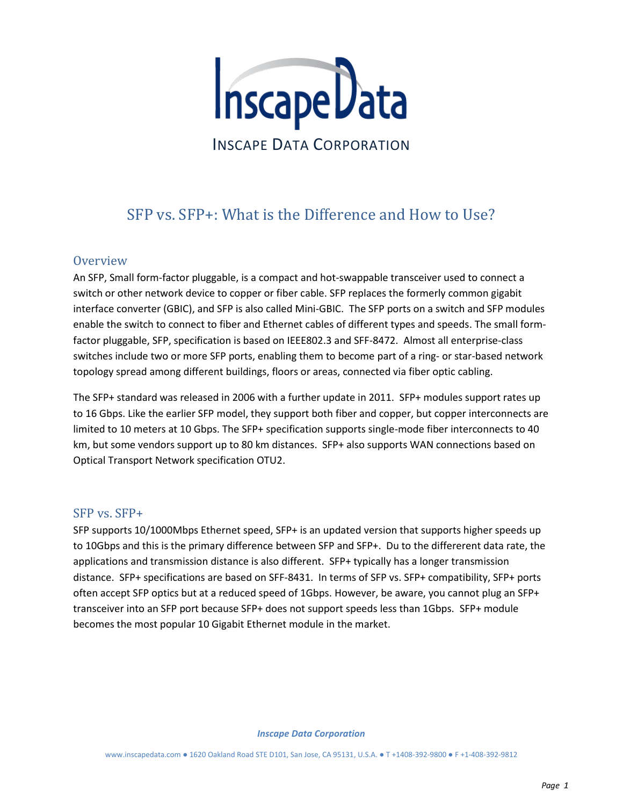

# SFP vs. SFP+: What is the Difference and How to Use?

## **Overview**

An SFP, Small form-factor pluggable, is a compact and hot-swappable transceiver used to connect a switch or other network device to copper or fiber cable. SFP replaces the formerly common gigabit interface converter (GBIC), and SFP is also called Mini-GBIC. The SFP ports on a switch and SFP modules enable the switch to connect to fiber and Ethernet cables of different types and speeds. The small formfactor pluggable, SFP, specification is based on IEEE802.3 and SFF-8472. Almost all enterprise-class switches include two or more SFP ports, enabling them to become part of a ring- or star-based network topology spread among different buildings, floors or areas, connected via fiber optic cabling.

The SFP+ standard was released in 2006 with a further update in 2011. SFP+ modules support rates up to 16 Gbps. Like the earlier SFP model, they support both fiber and copper, but copper interconnects are limited to 10 meters at 10 Gbps. The SFP+ specification supports single-mode fiber interconnects to 40 km, but some vendors support up to 80 km distances. SFP+ also supports WAN connections based on Optical Transport Network specification OTU2.

## SFP vs. SFP+

SFP supports 10/1000Mbps Ethernet speed, SFP+ is an updated version that supports higher speeds up to 10Gbps and this is the primary difference between SFP and SFP+. Du to the differerent data rate, the applications and transmission distance is also different. SFP+ typically has a longer transmission distance. SFP+ specifications are based on SFF-8431. In terms of SFP vs. SFP+ compatibility, SFP+ ports often accept SFP optics but at a reduced speed of 1Gbps. However, be aware, you cannot plug an SFP+ transceiver into an SFP port because SFP+ does not support speeds less than 1Gbps. SFP+ module becomes the most popular 10 Gigabit Ethernet module in the market.

*Inscape Data Corporation*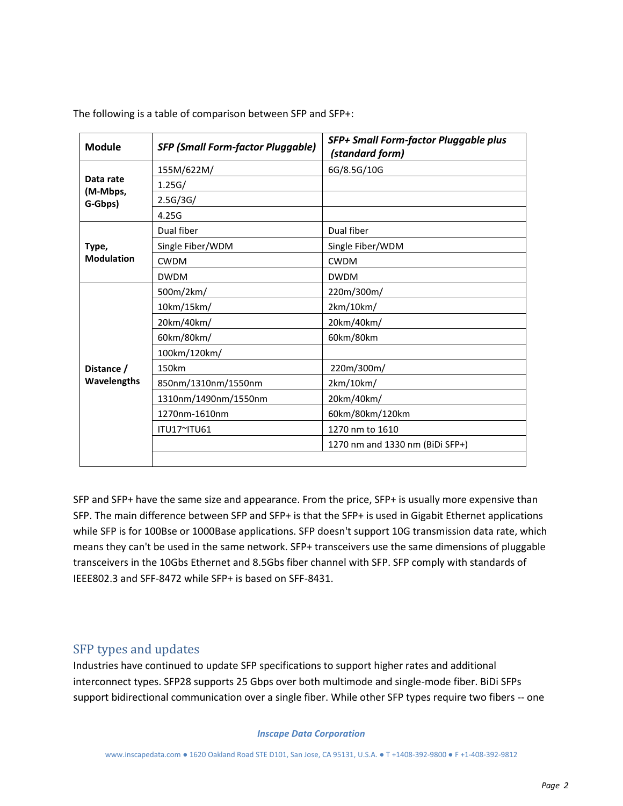| <b>Module</b>                    | <b>SFP (Small Form-factor Pluggable)</b> | SFP+ Small Form-factor Pluggable plus<br>(standard form) |
|----------------------------------|------------------------------------------|----------------------------------------------------------|
| Data rate<br>(M-Mbps,<br>G-Gbps) | 155M/622M/                               | 6G/8.5G/10G                                              |
|                                  | 1.25G/                                   |                                                          |
|                                  | 2.5G/3G/                                 |                                                          |
|                                  | 4.25G                                    |                                                          |
| Type,<br><b>Modulation</b>       | Dual fiber                               | Dual fiber                                               |
|                                  | Single Fiber/WDM                         | Single Fiber/WDM                                         |
|                                  | <b>CWDM</b>                              | <b>CWDM</b>                                              |
|                                  | <b>DWDM</b>                              | <b>DWDM</b>                                              |
| Distance /<br>Wavelengths        | 500m/2km/                                | 220m/300m/                                               |
|                                  | 10km/15km/                               | 2km/10km/                                                |
|                                  | 20km/40km/                               | 20km/40km/                                               |
|                                  | 60km/80km/                               | 60km/80km                                                |
|                                  | 100km/120km/                             |                                                          |
|                                  | 150km                                    | 220m/300m/                                               |
|                                  | 850nm/1310nm/1550nm                      | 2km/10km/                                                |
|                                  | 1310nm/1490nm/1550nm                     | 20km/40km/                                               |
|                                  | 1270nm-1610nm                            | 60km/80km/120km                                          |
|                                  | ITU17~ITU61                              | 1270 nm to 1610                                          |
|                                  |                                          | 1270 nm and 1330 nm (BiDi SFP+)                          |
|                                  |                                          |                                                          |

The following is a table of comparison between SFP and SFP+:

SFP and SFP+ have the same size and appearance. From the price, SFP+ is usually more expensive than SFP. The main difference between SFP and SFP+ is that the SFP+ is used in Gigabit Ethernet applications while SFP is for 100Bse or 1000Base applications. SFP doesn't support 10G transmission data rate, which means they can't be used in the same network. SFP+ transceivers use the same dimensions of pluggable transceivers in the 10Gbs Ethernet and 8.5Gbs fiber channel with SFP. SFP comply with standards of IEEE802.3 and SFF-8472 while SFP+ is based on SFF-8431.

## SFP types and updates

Industries have continued to update SFP specifications to support higher rates and additional interconnect types. SFP28 supports 25 Gbps over both multimode and single-mode fiber. BiDi SFPs support bidirectional communication over a single fiber. While other SFP types require two fibers -- one

#### *Inscape Data Corporation*